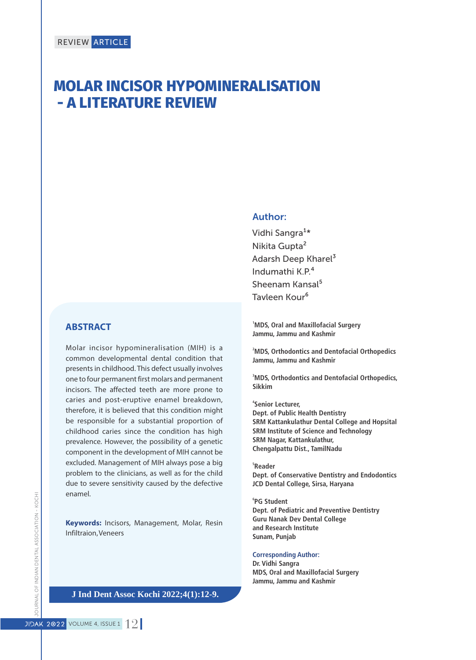# **MOLAR INCISOR HYPOMINERALISATION - A LITERATURE REVIEW**

### **ABSTRACT**

Molar incisor hypomineralisation (MIH) is a common developmental dental condition that presents in childhood. This defect usually involves one to four permanent first molars and permanent incisors. The affected teeth are more prone to caries and post-eruptive enamel breakdown, therefore, it is believed that this condition might be responsible for a substantial proportion of childhood caries since the condition has high prevalence. However, the possibility of a genetic component in the development of MIH cannot be excluded. Management of MIH always pose a big problem to the clinicians, as well as for the child due to severe sensitivity caused by the defective enamel.

**Keywords:** Incisors, Management, Molar, Resin Infiltraion, Veneers

#### **J Odontol Res 2018;6(2)15-8. J Ind Dent Assoc Kochi 2022;4(1):12-9.**

### Author:

Vidhi Sangra<sup>1\*</sup> Nikita Gupta² Adarsh Deep Kharel<sup>3</sup> Indumathi K.P.⁴ Sheenam Kansal<sup>5</sup> Tavleen Kour<sup>6</sup>

**<sup>1</sup>MDS, Oral and Maxillofacial Surgery Jammu, Jammu and Kashmir**

**<sup>2</sup>MDS, Orthodontics and Dentofacial Orthopedics Jammu, Jammu and Kashmir**

**<sup>3</sup>MDS, Orthodontics and Dentofacial Orthopedics, Sikkim**

**4 Senior Lecturer, Dept. of Public Health Dentistry SRM Kattankulathur Dental College and Hopsital SRM Institute of Science and Technology SRM Nagar, Kattankulathur, Chengalpattu Dist., TamilNadu**

**5 Reader Dept. of Conservative Dentistry and Endodontics JCD Dental College, Sirsa, Haryana**

**6 PG Student Dept. of Pediatric and Preventive Dentistry Guru Nanak Dev Dental College and Research Institute Sunam, Punjab**

#### **Corresponding Author:**

**Dr. Vidhi Sangra MDS, Oral and Maxillofacial Surgery Jammu, Jammu and Kashmir**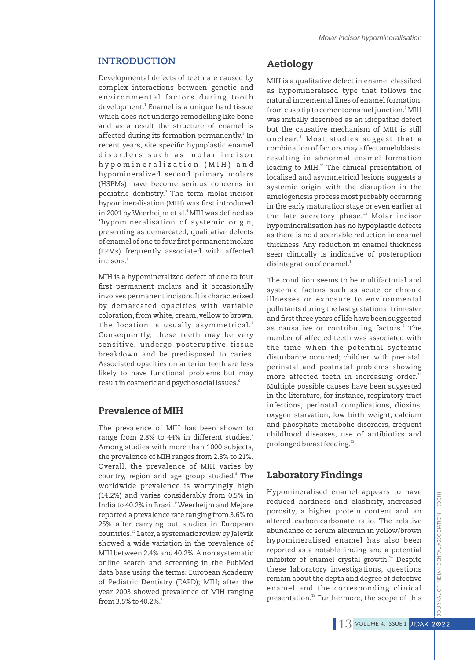Developmental defects of teeth are caused by complex interactions between genetic and environmental factors during tooth 1 development. Enamel is a unique hard tissue which does not undergo remodelling like bone and as a result the structure of enamel is affected during its formation permanently.<sup>2</sup> In recent years, site specific hypoplastic enamel disorders such as molar incisor hy p o m i n e r a l i z a t i o n (MIH) and hypomineralized second primary molars (HSPMs) have become serious concerns in pediatric dentistry.<sup>3</sup> The term molar-incisor hypomineralisation (MIH) was first introduced in 2001 by Weerheijm et al.<sup>4</sup> MIH was defined as 'hypomineralisation of systemic origin, presenting as demarcated, qualitative defects of enamel of one to four first permanent molars (FPMs) frequently associated with affected 5 incisors.

MIH is a hypomineralized defect of one to four first permanent molars and it occasionally involves permanent incisors.It is characterized by demarcated opacities with variable coloration, from white, cream, yellow to brown. The location is usually asymmetrical.<sup>4</sup> Consequently, these teeth may be very sensitive, undergo posteruptive tissue breakdown and be predisposed to caries. Associated opacities on anterior teeth are less likely to have functional problems but may 6 result in cosmetic and psychosocial issues.

### Prevalence of MIH

The prevalence of MIH has been shown to 7 range from 2.8% to 44% in different studies. Among studies with more than 1000 subjects, the prevalence of MIH ranges from 2.8% to 21%. Overall, the prevalence of MIH varies by country, region and age group studied.<sup>8</sup> The worldwide prevalence is worryingly high (14.2%) and varies considerably from 0.5% in 9 India to 40.2% in Brazil. Weerheijm and Mejare reported a prevalence rate ranging from 3.6% to 25% after carrying out studies in European countries.<sup>10</sup> Later, a systematic review by Jalevik showed a wide variation in the prevalence of MIH between 2.4% and 40.2%.A non systematic online search and screening in the PubMed data base using the terms: European Academy of Pediatric Dentistry (EAPD); MIH; after the year 2003 showed prevalence of MIH ranging from 3.5% to 40.2%.<sup>1</sup>

### Aetiology

MIH is a qualitative defect in enamel classified as hypomineralised type that follows the natural incremental lines of enamel formation, from cusp tip to cementoenamel junction.<sup>1</sup> MIH was initially described as an idiopathic defect but the causative mechanism of MIH is still unclear.' Most studies suggest that a combination of factors may affect ameloblasts, resulting in abnormal enamel formation leading to MIH.<sup>11</sup> The clinical presentation of localised and asymmetrical lesions suggests a systemic origin with the disruption in the amelogenesis process most probably occurring in the early maturation stage or even earlier at the late secretory phase.<sup>12</sup> Molar incisor hypomineralisation has no hypoplastic defects as there is no discernable reduction in enamel thickness. Any reduction in enamel thickness seen clinically is indicative of posteruption  ${\rm disintegration}$  of enamel. $^1$ 

The condition seems to be multifactorial and systemic factors such as acute or chronic illnesses or exposure to environmental pollutants during the last gestational trimester and first three years of life have been suggested as causative or contributing factors.<sup>5</sup> The number of affected teeth was associated with the time when the potential systemic disturbance occurred; children with prenatal, perinatal and postnatal problems showing more affected teeth in increasing order.<sup>13</sup> Multiple possible causes have been suggested in the literature, for instance, respiratory tract infections, perinatal complications, dioxins, oxygen starvation, low birth weight, calcium and phosphate metabolic disorders, frequent childhood diseases, use of antibiotics and prolonged breast feeding.<sup>12</sup>

### Laboratory Findings

Hypomineralised enamel appears to have reduced hardness and elasticity, increased porosity, a higher protein content and an altered carbon:carbonate ratio. The relative abundance of serum albumin in yellow/brown hypomineralised enamel has also been reported as a notable finding and a potential inhibitor of enamel crystal growth.<sup>14</sup> Despite these laboratory investigations, questions remain about the depth and degree of defective enamel and the corresponding clinical presentation.<sup>15</sup> Furthermore, the scope of this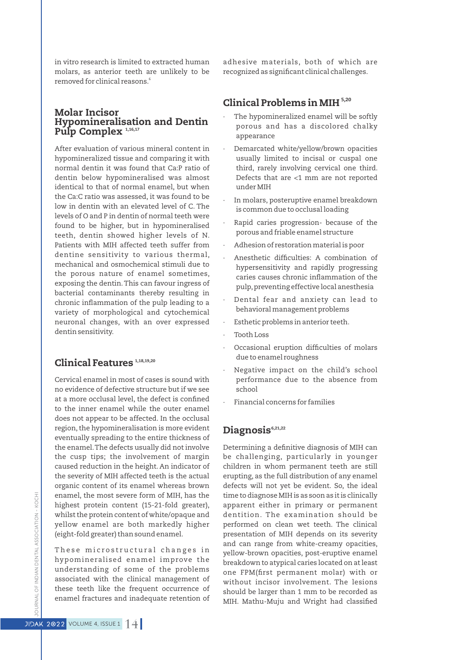in vitro research is limited to extracted human molars, as anterior teeth are unlikely to be 6 removed for clinical reasons.

### Molar Incisor Hypomineralisation and Dentin Pulp Complex<sup>1,16,17</sup>

After evaluation of various mineral content in hypomineralized tissue and comparing it with normal dentin it was found that Ca:P ratio of dentin below hypomineralised was almost identical to that of normal enamel, but when the Ca:C ratio was assessed, it was found to be low in dentin with an elevated level of C. The levels of O and P in dentin of normal teeth were found to be higher, but in hypomineralised teeth, dentin showed higher levels of N. Patients with MIH affected teeth suffer from dentine sensitivity to various thermal, mechanical and osmochemical stimuli due to the porous nature of enamel sometimes, exposing the dentin.This can favour ingress of bacterial contaminants thereby resulting in chronic inflammation of the pulp leading to a variety of morphological and cytochemical neuronal changes, with an over expressed dentin sensitivity.

### Clinical Features<sup>1,18,19,20</sup>

Cervical enamel in most of cases is sound with no evidence of defective structure but if we see at a more occlusal level, the defect is confined to the inner enamel while the outer enamel does not appear to be affected. In the occlusal region, the hypomineralisation is more evident eventually spreading to the entire thickness of the enamel.The defects usually did not involve the cusp tips; the involvement of margin caused reduction in the height. An indicator of the severity of MIH affected teeth is the actual organic content of its enamel whereas brown enamel, the most severe form of MIH, has the highest protein content (15-21-fold greater), whilst the protein content of white/opaque and yellow enamel are both markedly higher (eight-fold greater) than sound enamel.

These microstructural changes in hypomineralised enamel improve the understanding of some of the problems associated with the clinical management of these teeth like the frequent occurrence of enamel fractures and inadequate retention of adhesive materials, both of which are recognized as significant clinical challenges.

### Clinical Problems in MIH<sup>5,20</sup>

- The hypomineralized enamel will be softly porous and has a discolored chalky appearance
- Demarcated white/yellow/brown opacities usually limited to incisal or cuspal one third, rarely involving cervical one third. Defects that are <1 mm are not reported under MIH
- In molars, posteruptive enamel breakdown is common due to occlusal loading
- Rapid caries progression- because of the porous and friable enamel structure
- · Adhesion of restoration material is poor
- Anesthetic difficulties: A combination of hypersensitivity and rapidly progressing caries causes chronic inflammation of the pulp, preventing effective local anesthesia
- Dental fear and anxiety can lead to behavioral management problems
- Esthetic problems in anterior teeth.
- · Tooth Loss
- Occasional eruption difficulties of molars due to enamel roughness
- · Negative impact on the child's school performance due to the absence from school
- · Financial concerns for families

## Diagnosis<sup>6,21,22</sup>

Determining a definitive diagnosis of MIH can be challenging, particularly in younger children in whom permanent teeth are still erupting, as the full distribution of any enamel defects will not yet be evident. So, the ideal time to diagnose MIH is as soon as it is clinically apparent either in primary or permanent dentition. The examination should be performed on clean wet teeth. The clinical presentation of MIH depends on its severity and can range from white-creamy opacities, yellow-brown opacities, post-eruptive enamel breakdown to atypical caries located on at least one FPM(first permanent molar) with or without incisor involvement. The lesions should be larger than 1 mm to be recorded as MIH. Mathu-Muju and Wright had classified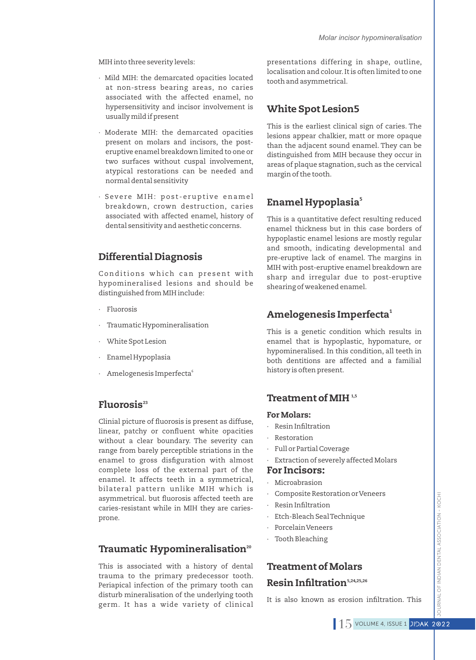MIH into three severity levels:

- · Mild MIH: the demarcated opacities located at non-stress bearing areas, no caries associated with the affected enamel, no hypersensitivity and incisor involvement is usually mild if present
- · Moderate MIH: the demarcated opacities present on molars and incisors, the posteruptive enamel breakdown limited to one or two surfaces without cuspal involvement, atypical restorations can be needed and normal dental sensitivity
- · Severe MIH: post-eruptive enamel breakdown, crown destruction, caries associated with affected enamel, history of dental sensitivity and aesthetic concerns.

# Differential Diagnosis

Conditions which can present with hypomineralised lesions and should be distinguished from MIH include:

- · Fluorosis
- · Traumatic Hypomineralisation
- White Spot Lesion
- · Enamel Hypoplasia
- · Amelogenesis Imperfecta<sup>6</sup>

# Fluorosis<sup>23</sup>

Clinial picture of fluorosis is present as diffuse, linear, patchy or confluent white opacities without a clear boundary. The severity can range from barely perceptible striations in the enamel to gross disfiguration with almost complete loss of the external part of the enamel. It affects teeth in a symmetrical, bilateral pattern unlike MIH which is asymmetrical. but fluorosis affected teeth are caries-resistant while in MIH they are cariesprone.

# Traumatic Hypomineralisation<sup>20</sup>

This is associated with a history of dental trauma to the primary predecessor tooth. Periapical infection of the primary tooth can disturb mineralisation of the underlying tooth germ. It has a wide variety of clinical

presentations differing in shape, outline, localisation and colour.It is often limited to one tooth and asymmetrical.

# White Spot Lesion5

This is the earliest clinical sign of caries. The lesions appear chalkier, matt or more opaque than the adjacent sound enamel. They can be distinguished from MIH because they occur in areas of plaque stagnation, such as the cervical margin of the tooth.

# 5 Enamel Hypoplasia

This is a quantitative defect resulting reduced enamel thickness but in this case borders of hypoplastic enamel lesions are mostly regular and smooth, indicating developmental and pre-eruptive lack of enamel. The margins in MIH with post-eruptive enamel breakdown are sharp and irregular due to post-eruptive shearing of weakened enamel.

# Amelogenesis Imperfecta<sup>1</sup>

This is a genetic condition which results in enamel that is hypoplastic, hypomature, or hypomineralised. In this condition, all teeth in both dentitions are affected and a familial history is often present.

### Treatment of MIH $1,5$

#### For Molars:

- · Resin Infiltration
- · Restoration
- · Full or Partial Coverage
- Extraction of severely affected Molars

#### For Incisors:

- · Microabrasion
- · Composite Restoration or Veneers
- Resin Infiltration
- · Etch-Bleach Seal Technique
- · Porcelain Veneers
- · Tooth Bleaching

# Treatment of Molars Resin Infiltration<sup>5,24,25,26</sup>

It is also known as erosion infiltration. This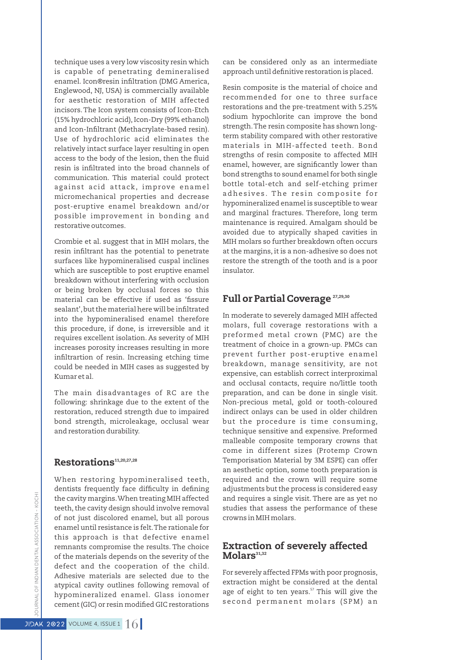technique uses a very low viscosity resin which is capable of penetrating demineralised enamel. Icon®resin infiltration (DMG America, Englewood, NJ, USA) is commercially available for aesthetic restoration of MIH affected incisors.The Icon system consists of Icon-Etch (15% hydrochloric acid), Icon-Dry (99% ethanol) and Icon-Infiltrant (Methacrylate-based resin). Use of hydrochloric acid eliminates the relatively intact surface layer resulting in open access to the body of the lesion, then the fluid resin is infiltrated into the broad channels of communication. This material could protect against acid attack, improve enamel micromechanical properties and decrease post-eruptive enamel breakdown and/or possible improvement in bonding and restorative outcomes.

Crombie et al. suggest that in MIH molars, the resin infiltrant has the potential to penetrate surfaces like hypomineralised cuspal inclines which are susceptible to post eruptive enamel breakdown without interfering with occlusion or being broken by occlusal forces so this material can be effective if used as 'fissure sealant', but the material here will be infiltrated into the hypomineralised enamel therefore this procedure, if done, is irreversible and it requires excellent isolation. As severity of MIH increases porosity increases resulting in more infiltrartion of resin. Increasing etching time could be needed in MIH cases as suggested by Kumar et al.

The main disadvantages of RC are the following: shrinkage due to the extent of the restoration, reduced strength due to impaired bond strength, microleakage, occlusal wear and restoration durability.

#### Restorations<sup>11,20,27,28</sup>

When restoring hypomineralised teeth, dentists frequently face difficulty in defining the cavity margins.When treating MIH affected teeth, the cavity design should involve removal of not just discolored enamel, but all porous enamel until resistance is felt.The rationale for this approach is that defective enamel remnants compromise the results. The choice of the materials depends on the severity of the defect and the cooperation of the child. Adhesive materials are selected due to the atypical cavity outlines following removal of hypomineralized enamel. Glass ionomer cement (GIC) or resin modified GIC restorations can be considered only as an intermediate approach until definitive restoration is placed.

Resin composite is the material of choice and recommended for one to three surface restorations and the pre-treatment with 5.25% sodium hypochlorite can improve the bond strength.The resin composite has shown longterm stability compared with other restorative materials in MIH-affected teeth. Bond strengths of resin composite to affected MIH enamel, however, are significantly lower than bond strengths to sound enamel for both single bottle total-etch and self-etching primer adhesives. The resin composite for hypomineralized enamel is susceptible to wear and marginal fractures. Therefore, long term maintenance is required. Amalgam should be avoided due to atypically shaped cavities in MIH molars so further breakdown often occurs at the margins, it is a non-adhesive so does not restore the strength of the tooth and is a poor insulator.

### Full or Partial Coverage<sup>27,29,30</sup>

In moderate to severely damaged MIH affected molars, full coverage restorations with a preformed metal crown (PMC) are the treatment of choice in a grown-up. PMCs can prevent further post-eruptive enamel breakdown, manage sensitivity, are not expensive, can establish correct interproximal and occlusal contacts, require no/little tooth preparation, and can be done in single visit. Non-precious metal, gold or tooth-coloured indirect onlays can be used in older children but the procedure is time consuming, technique sensitive and expensive. Preformed malleable composite temporary crowns that come in different sizes (Protemp Crown Temporisation Material by 3M ESPE) can offer an aesthetic option, some tooth preparation is required and the crown will require some adjustments but the process is considered easy and requires a single visit. There are as yet no studies that assess the performance of these crowns in MIH molars.

### Extraction of severely affected  $Molars<sup>31,32</sup>$

For severely affected FPMs with poor prognosis, extraction might be considered at the dental age of eight to ten years.<sup>57</sup> This will give the second permanent molars (SPM) an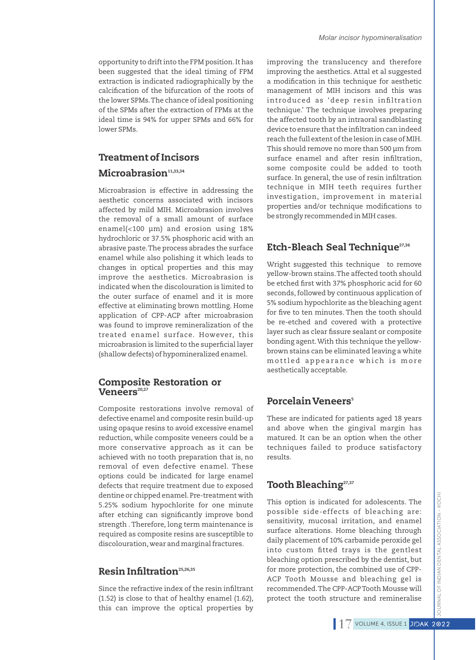opportunity to drift into the FPM position.It has been suggested that the ideal timing of FPM extraction is indicated radiographically by the calcification of the bifurcation of the roots of the lower SPMs.The chance of ideal positioning of the SPMs after the extraction of FPMs at the ideal time is 94% for upper SPMs and 66% for lower SPMs.

# Treatment of Incisors

## $Microabrasion<sup>11,33,34</sup>$

Microabrasion is effective in addressing the aesthetic concerns associated with incisors affected by mild MIH. Microabrasion involves the removal of a small amount of surface enamel(<100 μm) and erosion using 18% hydrochloric or 37.5% phosphoric acid with an abrasive paste.The process abrades the surface enamel while also polishing it which leads to changes in optical properties and this may improve the aesthetics. Microabrasion is indicated when the discolouration is limited to the outer surface of enamel and it is more effective at eliminating brown mottling. Home application of CPP-ACP after microabrasion was found to improve remineralization of the treated enamel surface. However, this microabrasion is limited to the superficial layer (shallow defects) of hypomineralized enamel.

### Composite Restoration or  $\mathbf V$ eneers $^{\scriptscriptstyle 20,27}$

Composite restorations involve removal of defective enamel and composite resin build-up using opaque resins to avoid excessive enamel reduction, while composite veneers could be a more conservative approach as it can be achieved with no tooth preparation that is, no removal of even defective enamel. These options could be indicated for large enamel defects that require treatment due to exposed dentine or chipped enamel. Pre-treatment with 5.25% sodium hypochlorite for one minute after etching can significantly improve bond strength .Therefore, long term maintenance is required as composite resins are susceptible to discolouration,wear and marginal fractures.

# Resin Infiltration<sup>25,26,35</sup>

Since the refractive index of the resin infiltrant (1.52) is close to that of healthy enamel (1.62), this can improve the optical properties by

improving the translucency and therefore improving the aesthetics. Attal et al suggested a modification in this technique for aesthetic management of MIH incisors and this was introduced as 'deep resin infiltration technique.' The technique involves preparing the affected tooth by an intraoral sandblasting device to ensure that the infiltration can indeed reach the full extent of the lesion in case of MIH. This should remove no more than 500 μm from surface enamel and after resin infiltration, some composite could be added to tooth surface. In general, the use of resin infiltration technique in MIH teeth requires further investigation, improvement in material properties and/or technique modifications to be strongly recommended in MIH cases.

# Etch-Bleach Seal Technique<sup>27,36</sup>

Wright suggested this technique to remove yellow-brown stains.The affected tooth should be etched first with 37% phosphoric acid for 60 seconds, followed by continuous application of 5% sodium hypochlorite as the bleaching agent for five to ten minutes. Then the tooth should be re-etched and covered with a protective layer such as clear fissure sealant or composite bonding agent.With this technique the yellowbrown stains can be eliminated leaving a white mottled appearance which is more aesthetically acceptable.

# <sup>5</sup> Porcelain Veneers

These are indicated for patients aged 18 years and above when the gingival margin has matured. It can be an option when the other techniques failed to produce satisfactory results.

# Tooth Bleaching<sup>27,37</sup>

This option is indicated for adolescents. The possible side-effects of bleaching are: sensitivity, mucosal irritation, and enamel surface alterations. Home bleaching through daily placement of 10% carbamide peroxide gel into custom fitted trays is the gentlest bleaching option prescribed by the dentist, but for more protection, the combined use of CPP-ACP Tooth Mousse and bleaching gel is recommended.The CPP-ACP Tooth Mousse will protect the tooth structure and remineralise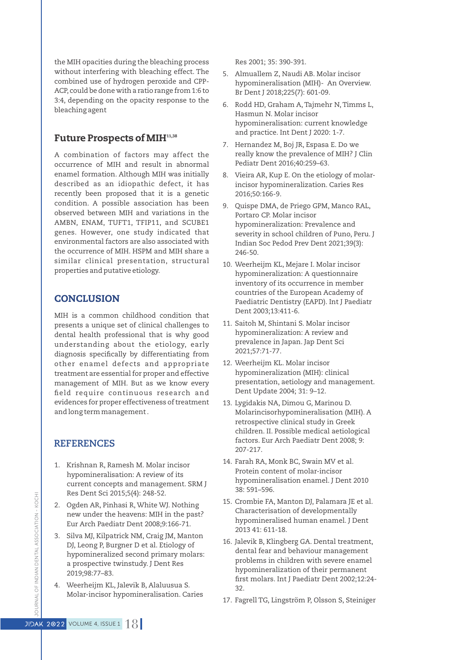the MIH opacities during the bleaching process without interfering with bleaching effect. The combined use of hydrogen peroxide and CPP-ACP, could be done with a ratio range from 1:6 to 3:4, depending on the opacity response to the bleaching agent

### Future Prospects of MIH<sup>11,38</sup>

A combination of factors may affect the occurrence of MIH and result in abnormal enamel formation. Although MIH was initially described as an idiopathic defect, it has recently been proposed that it is a genetic condition. A possible association has been observed between MIH and variations in the AMBN, ENAM, TUFT1, TFIP11, and SCUBE1 genes. However, one study indicated that environmental factors are also associated with the occurrence of MIH. HSPM and MIH share a similar clinical presentation, structural properties and putative etiology.

### **CONCLUSION**

MIH is a common childhood condition that presents a unique set of clinical challenges to dental health professional that is why good understanding about the etiology, early diagnosis specifically by differentiating from other enamel defects and appropriate treatment are essential for proper and effective management of MIH. But as we know every field require continuous research and evidences for proper effectiveness of treatment and long term management .

#### **REFERENCES**

- 1. Krishnan R, Ramesh M. Molar incisor hypomineralisation: A review of its current concepts and management. SRM J Res Dent Sci 2015;5(4): 248-52.
- 2. Ogden AR, Pinhasi R, White WJ. Nothing new under the heavens: MIH in the past? Eur Arch Paediatr Dent 2008;9:166-71.
- 3. Silva MJ, Kilpatrick NM, Craig JM, Manton DJ, Leong P, Burgner D et al. Etiology of hypomineralized second primary molars: a prospective twinstudy. J Dent Res 2019;98:77–83.
- 4. Weerheijm KL, Jalevik B, Alaluusua S. Molar-incisor hypomineralisation. Caries

Res 2001; 35: 390-391.

- 5. Almuallem Z, Naudi AB. Molar incisor hypomineralisation (MIH)- An Overview. Br Dent J 2018;225(7): 601-09.
- 6. Rodd HD, Graham A, Tajmehr N,Timms L, Hasmun N. Molar incisor hypomineralisation: current knowledge and practice. Int Dent J 2020: 1-7.
- 7. Hernandez M, Boj JR, Espasa E. Do we really know the prevalence of MIH? J Clin Pediatr Dent 2016;40:259–63.
- 8. Vieira AR, Kup E. On the etiology of molarincisor hypomineralization. Caries Res 2016;50:166-9.
- 9. Quispe DMA, de Priego GPM, Manco RAL, Portaro CP. Molar incisor hypomineralization: Prevalence and severity in school children of Puno, Peru. J Indian Soc Pedod Prev Dent 2021;39(3): 246-50.
- 10. Weerheijm KL, Mejare I. Molar incisor hypomineralization: A questionnaire inventory of its occurrence in member countries of the European Academy of Paediatric Dentistry (EAPD). Int J Paediatr Dent 2003;13:411-6.
- 11. Saitoh M, Shintani S. Molar incisor hypomineralization: A review and prevalence in Japan. Jap Dent Sci 2021;57:71-77.
- 12. Weerheijm KL. Molar incisor hypomineralization (MIH): clinical presentation, aetiology and management. Dent Update 2004; 31: 9–12.
- 13. Lygidakis NA, Dimou G, Marinou D. Molarincisorhypomineralisation (MIH). A retrospective clinical study in Greek children. II. Possible medical aetiological factors. Eur Arch Paediatr Dent 2008; 9: 207-217.
- 14. Farah RA, Monk BC, Swain MV et al. Protein content of molar-incisor hypomineralisation enamel. J Dent 2010 38: 591–596.
- 15. Crombie FA, Manton DJ, Palamara JE et al. Characterisation of developmentally hypomineralised human enamel. J Dent 2013 41: 611-18.
- 16. Jalevik B, Klingberg GA. Dental treatment, dental fear and behaviour management problems in children with severe enamel hypomineralization of their permanent first molars. Int J Paediatr Dent 2002;12:24-32.
- 17. Fagrell TG, Lingström P, Olsson S, Steiniger